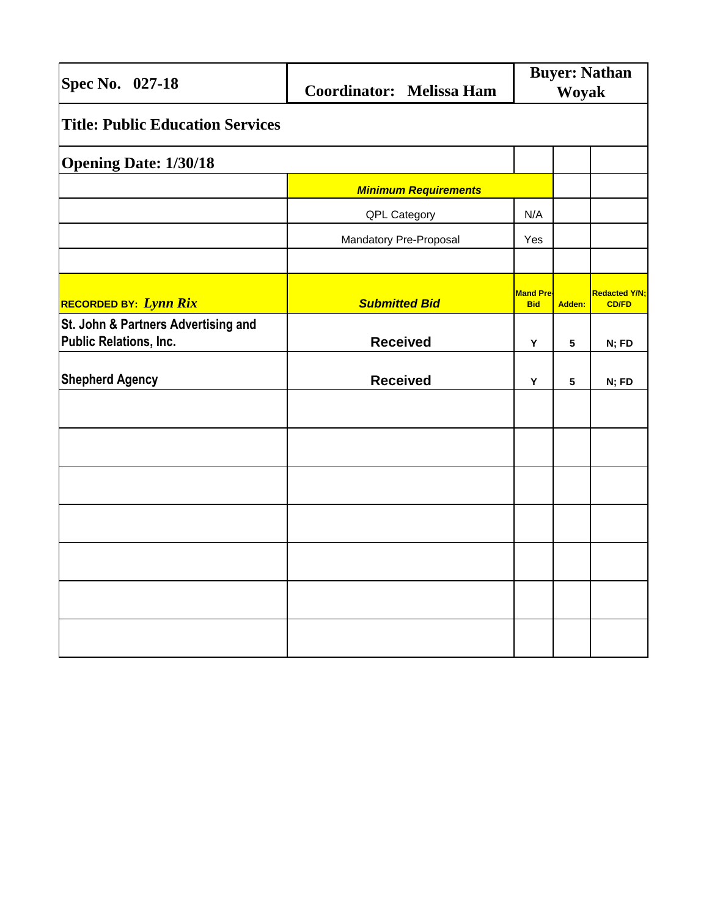| Spec No. 027-18                                                      | <b>Coordinator:</b> Melissa Ham | <b>Buyer: Nathan</b><br>Woyak  |        |                                      |
|----------------------------------------------------------------------|---------------------------------|--------------------------------|--------|--------------------------------------|
| <b>Title: Public Education Services</b>                              |                                 |                                |        |                                      |
| <b>Opening Date: 1/30/18</b>                                         |                                 |                                |        |                                      |
|                                                                      | <b>Minimum Requirements</b>     |                                |        |                                      |
|                                                                      | QPL Category                    | N/A                            |        |                                      |
|                                                                      | Mandatory Pre-Proposal          | Yes                            |        |                                      |
|                                                                      |                                 |                                |        |                                      |
| <b>RECORDED BY: Lynn Rix</b>                                         | <b>Submitted Bid</b>            | <b>Mand Pre-</b><br><b>Bid</b> | Adden: | <b>Redacted Y/N;</b><br><b>CD/FD</b> |
| St. John & Partners Advertising and<br><b>Public Relations, Inc.</b> | <b>Received</b>                 | Y                              | 5      | N; FD                                |
| <b>Shepherd Agency</b>                                               | <b>Received</b>                 | Υ                              | 5      | N; FD                                |
|                                                                      |                                 |                                |        |                                      |
|                                                                      |                                 |                                |        |                                      |
|                                                                      |                                 |                                |        |                                      |
|                                                                      |                                 |                                |        |                                      |
|                                                                      |                                 |                                |        |                                      |
|                                                                      |                                 |                                |        |                                      |
|                                                                      |                                 |                                |        |                                      |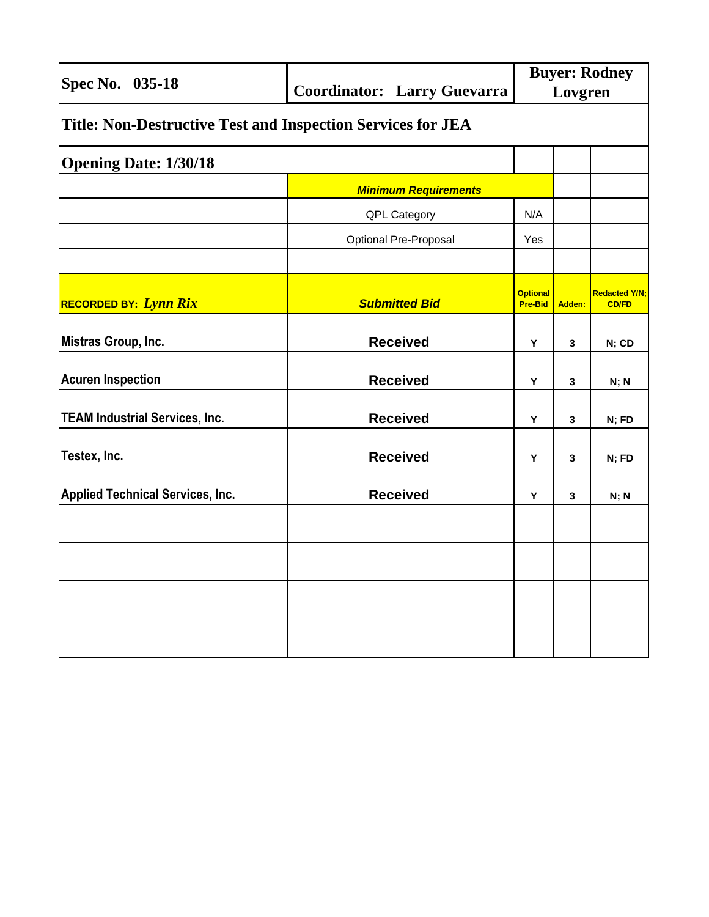| Spec No. 035-18                                                    | <b>Coordinator: Larry Guevarra</b> | <b>Buyer: Rodney</b><br>Lovgren   |        |                                      |
|--------------------------------------------------------------------|------------------------------------|-----------------------------------|--------|--------------------------------------|
| <b>Title: Non-Destructive Test and Inspection Services for JEA</b> |                                    |                                   |        |                                      |
| <b>Opening Date: 1/30/18</b>                                       |                                    |                                   |        |                                      |
|                                                                    | <b>Minimum Requirements</b>        |                                   |        |                                      |
|                                                                    | QPL Category                       | N/A                               |        |                                      |
|                                                                    | <b>Optional Pre-Proposal</b>       | Yes                               |        |                                      |
|                                                                    |                                    |                                   |        |                                      |
| <b>RECORDED BY: Lynn Rix</b>                                       | <b>Submitted Bid</b>               | <b>Optional</b><br><b>Pre-Bid</b> | Adden: | <b>Redacted Y/N;</b><br><b>CD/FD</b> |
| Mistras Group, Inc.                                                | <b>Received</b>                    | Υ                                 | 3      | N; CD                                |
| <b>Acuren Inspection</b>                                           | <b>Received</b>                    | Υ                                 | 3      | N; N                                 |
| <b>TEAM Industrial Services, Inc.</b>                              | <b>Received</b>                    | Y                                 | 3      | N; FD                                |
| Testex, Inc.                                                       | <b>Received</b>                    | Υ                                 | 3      | N; FD                                |
| <b>Applied Technical Services, Inc.</b>                            | <b>Received</b>                    | Υ                                 | 3      | N; N                                 |
|                                                                    |                                    |                                   |        |                                      |
|                                                                    |                                    |                                   |        |                                      |
|                                                                    |                                    |                                   |        |                                      |
|                                                                    |                                    |                                   |        |                                      |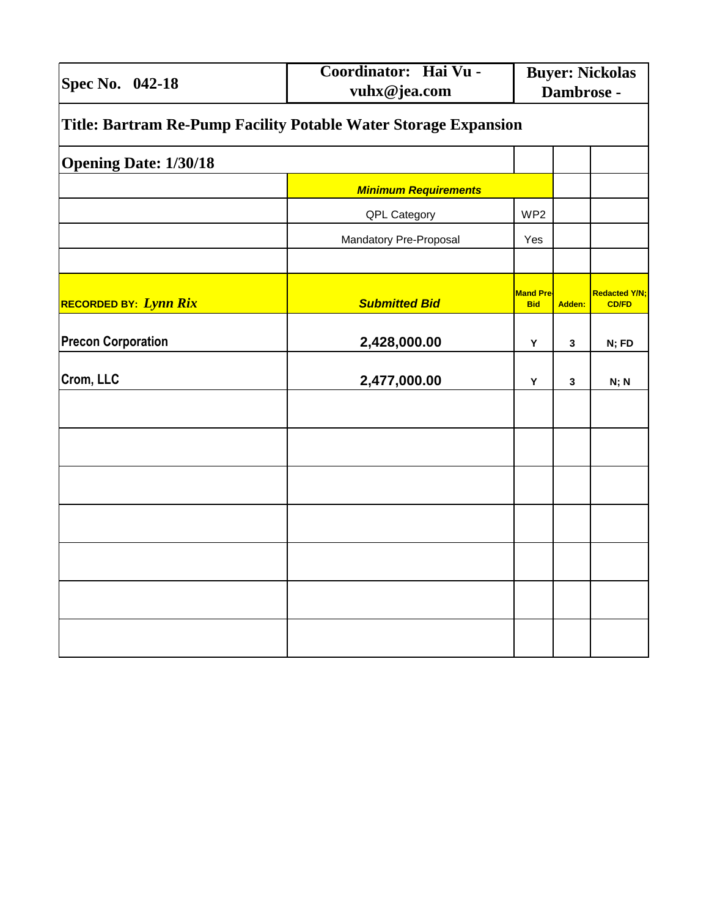| Spec No. 042-18                                                 | Coordinator: Hai Vu -<br>vuhx@jea.com | <b>Buyer: Nickolas</b><br>Dambrose - |        |                                      |
|-----------------------------------------------------------------|---------------------------------------|--------------------------------------|--------|--------------------------------------|
| Title: Bartram Re-Pump Facility Potable Water Storage Expansion |                                       |                                      |        |                                      |
| <b>Opening Date: 1/30/18</b>                                    |                                       |                                      |        |                                      |
|                                                                 | <b>Minimum Requirements</b>           |                                      |        |                                      |
|                                                                 | QPL Category                          | WP <sub>2</sub>                      |        |                                      |
|                                                                 | Mandatory Pre-Proposal                | Yes                                  |        |                                      |
|                                                                 |                                       |                                      |        |                                      |
| RECORDED BY: Lynn Rix                                           | <b>Submitted Bid</b>                  | <b>Mand Pre-</b><br><b>Bid</b>       | Adden: | <b>Redacted Y/N;</b><br><b>CD/FD</b> |
| <b>Precon Corporation</b>                                       | 2,428,000.00                          | Υ                                    | 3      | N; FD                                |
| Crom, LLC                                                       | 2,477,000.00                          | Υ                                    | 3      | N; N                                 |
|                                                                 |                                       |                                      |        |                                      |
|                                                                 |                                       |                                      |        |                                      |
|                                                                 |                                       |                                      |        |                                      |
|                                                                 |                                       |                                      |        |                                      |
|                                                                 |                                       |                                      |        |                                      |
|                                                                 |                                       |                                      |        |                                      |
|                                                                 |                                       |                                      |        |                                      |